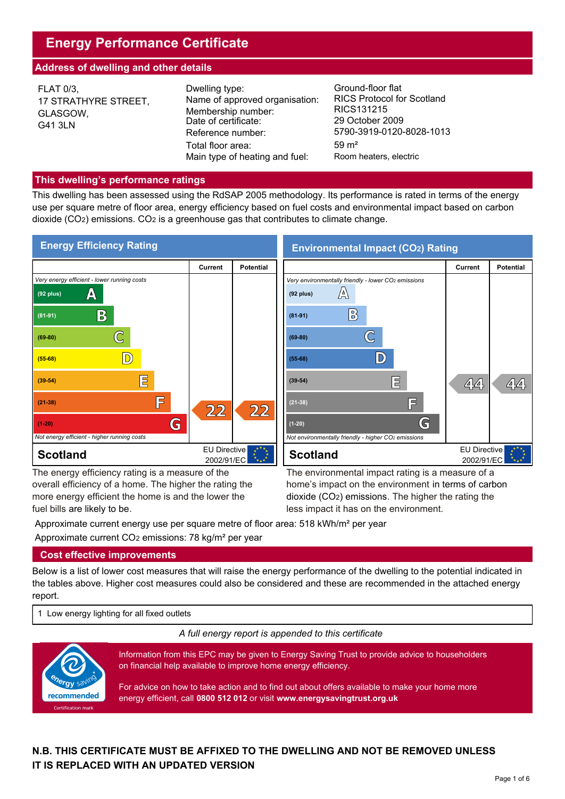# **Energy Performance Certificate**

## **Address of dwelling and other details**

| FLAT 0/3,<br>17 STRATHYRE STREET,<br>GLASGOW,<br>G41 3LN | Dwelling type:<br>Name of approved organisation:<br>Membership number:<br>Date of certificate:<br>Reference number:<br>Total floor area:<br>Main type of heating and fuel: | Ground-floor flat<br><b>RICS Protocol for Scotland</b><br>RICS131215<br>29 October 2009<br>5790-3919-0120-8028-1013<br>$59 \text{ m}^2$<br>Room heaters, electric |
|----------------------------------------------------------|----------------------------------------------------------------------------------------------------------------------------------------------------------------------------|-------------------------------------------------------------------------------------------------------------------------------------------------------------------|
|----------------------------------------------------------|----------------------------------------------------------------------------------------------------------------------------------------------------------------------------|-------------------------------------------------------------------------------------------------------------------------------------------------------------------|

#### **This dwelling's performance ratings**

This dwelling has been assessed using the RdSAP 2005 methodology. Its performance is rated in terms of the energy use per square metre of floor area, energy efficiency based on fuel costs and environmental impact based on carbon dioxide (CO2) emissions. CO2 is a greenhouse gas that contributes to climate change.



The energy efficiency rating is a measure of the overall efficiency of a home. The higher the rating the more energy efficient the home is and the lower the

The energy efficiency rating is a measure of the overall efficiency of a home. The higher the rating the overall efficiency of a home. The higher the rating the more energy efficient the home is and the lower the fuel bill home's impact on the environment in terms of carbon dioxide (CO2) emissions. The higher the rating the less impact it has on the environment.

Approximate current energy use per square metre of floor area: 518 kWh/m<sup>2</sup> per year Approximate current CO2 emissions: 78 kg/m² per year

#### **Cost effective improvements**

Below is a list of lower cost measures that will raise the energy performance of the dwelling to the potential indicated in the tables above. Higher cost measures could also be considered and these are recommended in the attached energy report.

1 Low energy lighting for all fixed outlets

#### *A full energy report is appended to this certificate*



Information from this EPC may be given to Energy Saving Trust to provide advice to householders on financial help available to improve home energy efficiency.

For advice on how to take action and to find out about offers available to make your home more energy efficient, call **0800 512 012** or visit **www.energysavingtrust.org.uk**

## **N.B. THIS CERTIFICATE MUST BE AFFIXED TO THE DWELLING AND NOT BE REMOVED UNLESS IT IS REPLACED WITH AN UPDATED VERSION**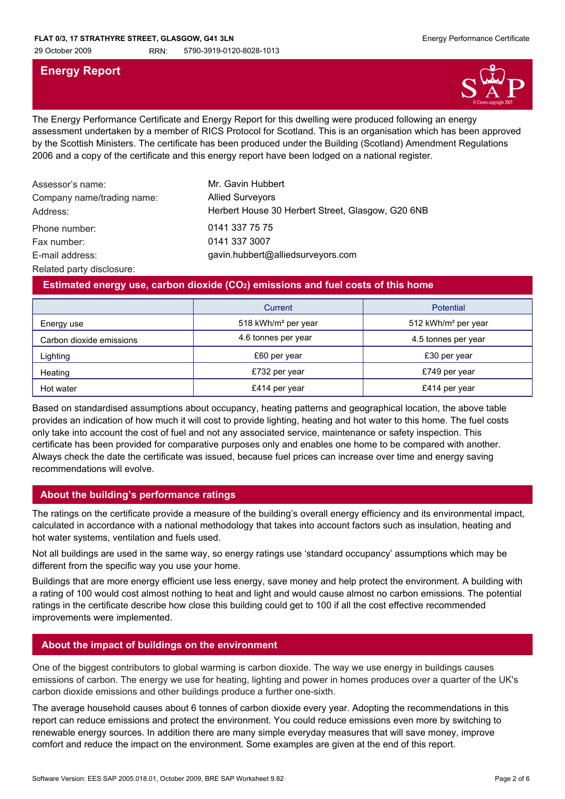# **Energy Report**



The Energy Performance Certificate and Energy Report for this dwelling were produced following an energy assessment undertaken by a member of RICS Protocol for Scotland. This is an organisation which has been approved by the Scottish Ministers. The certificate has been produced under the Building (Scotland) Amendment Regulations 2006 and a copy of the certificate and this energy report have been lodged on a national register.

| Assessor's name:           | Mr. Gavin Hubbert                                 |
|----------------------------|---------------------------------------------------|
| Company name/trading name: | <b>Allied Surveyors</b>                           |
| Address:                   | Herbert House 30 Herbert Street, Glasgow, G20 6NB |
| Phone number:              | 0141 337 75 75                                    |
| Fax number:                | 0141 337 3007                                     |
| E-mail address:            | gavin.hubbert@alliedsurveyors.com                 |

Related party disclosure:

## **Estimated energy use, carbon dioxide (CO2) emissions and fuel costs of this home**

|                          | Current                         | <b>Potential</b>                |
|--------------------------|---------------------------------|---------------------------------|
| Energy use               | 518 kWh/m <sup>2</sup> per year | 512 kWh/m <sup>2</sup> per year |
| Carbon dioxide emissions | 4.6 tonnes per year             | 4.5 tonnes per year             |
| Lighting                 | £60 per year                    | £30 per year                    |
| Heating                  | £732 per year                   | £749 per year                   |
| Hot water                | £414 per year                   | £414 per year                   |

Based on standardised assumptions about occupancy, heating patterns and geographical location, the above table provides an indication of how much it will cost to provide lighting, heating and hot water to this home. The fuel costs only take into account the cost of fuel and not any associated service, maintenance or safety inspection. This certificate has been provided for comparative purposes only and enables one home to be compared with another. Always check the date the certificate was issued, because fuel prices can increase over time and energy saving recommendations will evolve.

## **About the building's performance ratings**

The ratings on the certificate provide a measure of the building's overall energy efficiency and its environmental impact, calculated in accordance with a national methodology that takes into account factors such as insulation, heating and hot water systems, ventilation and fuels used.

Not all buildings are used in the same way, so energy ratings use 'standard occupancy' assumptions which may be different from the specific way you use your home.

Buildings that are more energy efficient use less energy, save money and help protect the environment. A building with a rating of 100 would cost almost nothing to heat and light and would cause almost no carbon emissions. The potential ratings in the certificate describe how close this building could get to 100 if all the cost effective recommended improvements were implemented.

## **About the impact of buildings on the environment**

One of the biggest contributors to global warming is carbon dioxide. The way we use energy in buildings causes emissions of carbon. The energy we use for heating, lighting and power in homes produces over a quarter of the UK's carbon dioxide emissions and other buildings produce a further one-sixth.

The average household causes about 6 tonnes of carbon dioxide every year. Adopting the recommendations in this report can reduce emissions and protect the environment. You could reduce emissions even more by switching to renewable energy sources. In addition there are many simple everyday measures that will save money, improve comfort and reduce the impact on the environment. Some examples are given at the end of this report.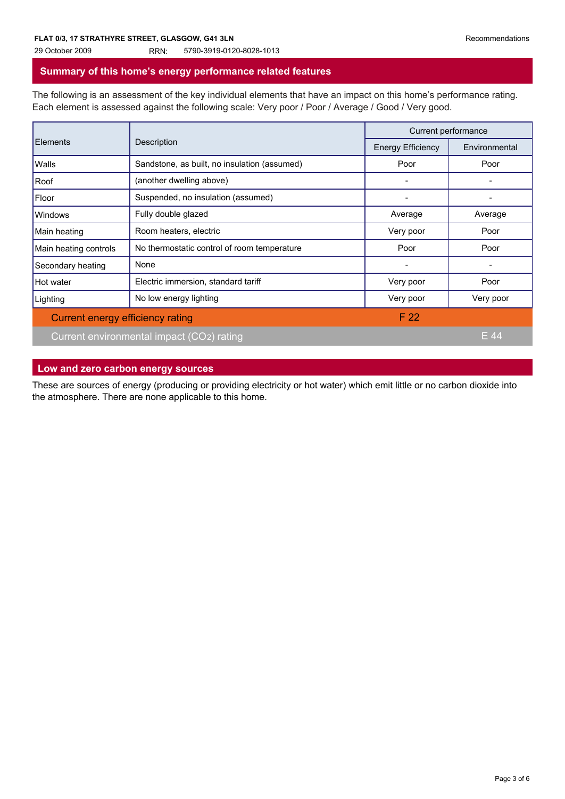## **Summary of this home's energy performance related features**

The following is an assessment of the key individual elements that have an impact on this home's performance rating. Each element is assessed against the following scale: Very poor / Poor / Average / Good / Very good.

| Elements                         | Description                                  |                          | Current performance |  |
|----------------------------------|----------------------------------------------|--------------------------|---------------------|--|
|                                  |                                              | <b>Energy Efficiency</b> | Environmental       |  |
| Walls                            | Sandstone, as built, no insulation (assumed) | Poor                     | Poor                |  |
| Roof                             | (another dwelling above)                     | $\qquad \qquad$          |                     |  |
| Floor                            | Suspended, no insulation (assumed)           |                          |                     |  |
| <b>Windows</b>                   | Fully double glazed                          | Average                  | Average             |  |
| Main heating                     | Room heaters, electric                       | Very poor                | Poor                |  |
| Main heating controls            | No thermostatic control of room temperature  | Poor                     | Poor                |  |
| Secondary heating                | None                                         |                          |                     |  |
| Hot water                        | Electric immersion, standard tariff          | Very poor                | Poor                |  |
| Lighting                         | No low energy lighting                       | Very poor                | Very poor           |  |
| Current energy efficiency rating |                                              | F <sub>22</sub>          |                     |  |
|                                  | Current environmental impact (CO2) rating    |                          | E 44                |  |

## **Low and zero carbon energy sources**

These are sources of energy (producing or providing electricity or hot water) which emit little or no carbon dioxide into the atmosphere. There are none applicable to this home.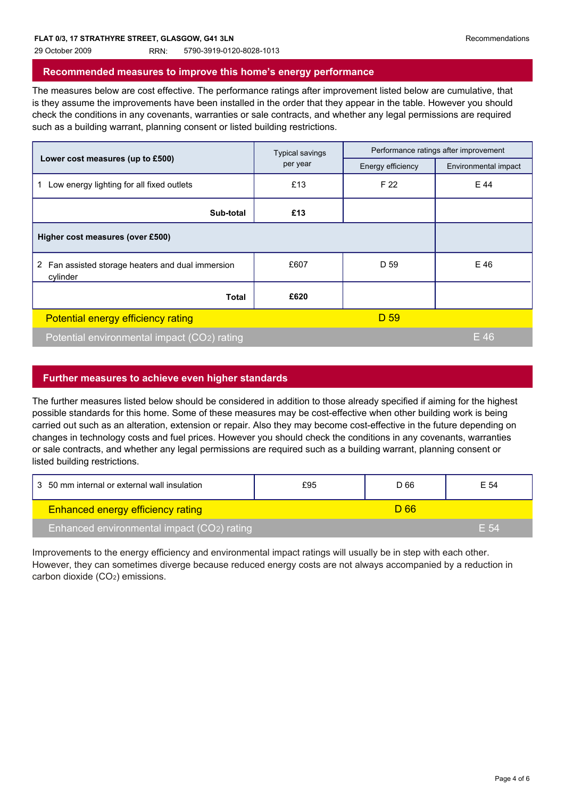### **Recommended measures to improve this home's energy performance**

The measures below are cost effective. The performance ratings after improvement listed below are cumulative, that is they assume the improvements have been installed in the order that they appear in the table. However you should check the conditions in any covenants, warranties or sale contracts, and whether any legal permissions are required such as a building warrant, planning consent or listed building restrictions.

|                                                                             | <b>Typical savings</b>                       | Performance ratings after improvement |                      |
|-----------------------------------------------------------------------------|----------------------------------------------|---------------------------------------|----------------------|
|                                                                             | Lower cost measures (up to £500)<br>per year |                                       | Environmental impact |
| Low energy lighting for all fixed outlets                                   | £13                                          | F 22                                  | E 44                 |
| Sub-total                                                                   | £13                                          |                                       |                      |
| Higher cost measures (over £500)                                            |                                              |                                       |                      |
| Fan assisted storage heaters and dual immersion<br>$\mathbf{2}$<br>cylinder | £607                                         | D 59                                  | E 46                 |
| <b>Total</b>                                                                | £620                                         |                                       |                      |
| Potential energy efficiency rating                                          |                                              | D 59                                  |                      |
| Potential environmental impact (CO2) rating                                 |                                              |                                       | E 46                 |

## **Further measures to achieve even higher standards**

The further measures listed below should be considered in addition to those already specified if aiming for the highest possible standards for this home. Some of these measures may be cost-effective when other building work is being carried out such as an alteration, extension or repair. Also they may become cost-effective in the future depending on changes in technology costs and fuel prices. However you should check the conditions in any covenants, warranties or sale contracts, and whether any legal permissions are required such as a building warrant, planning consent or listed building restrictions.

| 3 50 mm internal or external wall insulation | £95 | D 66 | E 54 |
|----------------------------------------------|-----|------|------|
| <b>Enhanced energy efficiency rating</b>     |     | D 66 |      |
| Enhanced environmental impact (CO2) rating   |     |      | E 54 |

Improvements to the energy efficiency and environmental impact ratings will usually be in step with each other. However, they can sometimes diverge because reduced energy costs are not always accompanied by a reduction in carbon dioxide (CO2) emissions.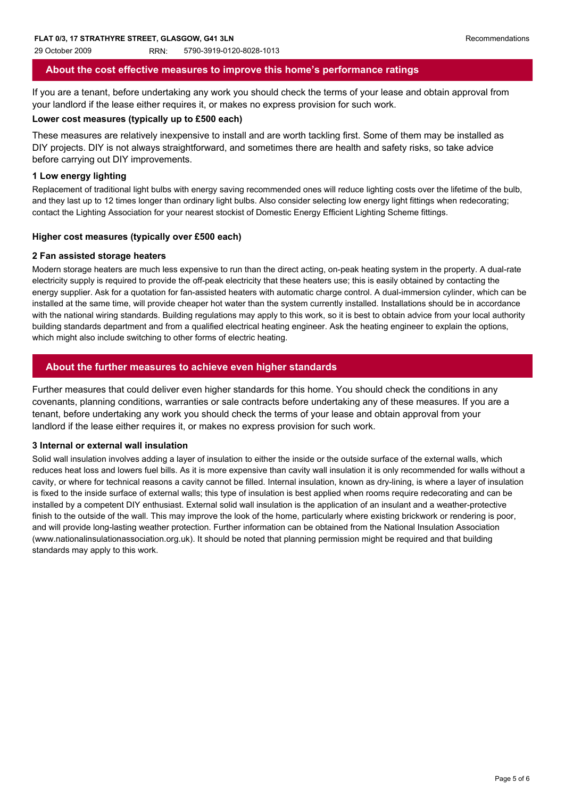# **About the cost effective measures to improve this home's performance ratings**

If you are a tenant, before undertaking any work you should check the terms of your lease and obtain approval from your landlord if the lease either requires it, or makes no express provision for such work.

## **Lower cost measures (typically up to £500 each)**

These measures are relatively inexpensive to install and are worth tackling first. Some of them may be installed as DIY projects. DIY is not always straightforward, and sometimes there are health and safety risks, so take advice before carrying out DIY improvements.

#### **1 Low energy lighting**

Replacement of traditional light bulbs with energy saving recommended ones will reduce lighting costs over the lifetime of the bulb, and they last up to 12 times longer than ordinary light bulbs. Also consider selecting low energy light fittings when redecorating; contact the Lighting Association for your nearest stockist of Domestic Energy Efficient Lighting Scheme fittings.

#### **Higher cost measures (typically over £500 each)**

#### **2 Fan assisted storage heaters**

Modern storage heaters are much less expensive to run than the direct acting, on-peak heating system in the property. A dual-rate electricity supply is required to provide the off-peak electricity that these heaters use; this is easily obtained by contacting the energy supplier. Ask for a quotation for fan-assisted heaters with automatic charge control. A dual-immersion cylinder, which can be installed at the same time, will provide cheaper hot water than the system currently installed. Installations should be in accordance with the national wiring standards. Building regulations may apply to this work, so it is best to obtain advice from your local authority building standards department and from a qualified electrical heating engineer. Ask the heating engineer to explain the options, which might also include switching to other forms of electric heating.

## **About the further measures to achieve even higher standards**

Further measures that could deliver even higher standards for this home. You should check the conditions in any covenants, planning conditions, warranties or sale contracts before undertaking any of these measures. If you are a tenant, before undertaking any work you should check the terms of your lease and obtain approval from your landlord if the lease either requires it, or makes no express provision for such work.

#### **3 Internal or external wall insulation**

Solid wall insulation involves adding a layer of insulation to either the inside or the outside surface of the external walls, which reduces heat loss and lowers fuel bills. As it is more expensive than cavity wall insulation it is only recommended for walls without a cavity, or where for technical reasons a cavity cannot be filled. Internal insulation, known as dry-lining, is where a layer of insulation is fixed to the inside surface of external walls; this type of insulation is best applied when rooms require redecorating and can be installed by a competent DIY enthusiast. External solid wall insulation is the application of an insulant and a weather-protective finish to the outside of the wall. This may improve the look of the home, particularly where existing brickwork or rendering is poor, and will provide long-lasting weather protection. Further information can be obtained from the National Insulation Association (www.nationalinsulationassociation.org.uk). It should be noted that planning permission might be required and that building standards may apply to this work.